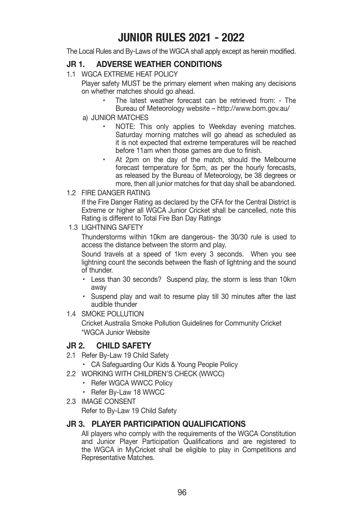# **JUNIOR RULES 2021 - 2022**

The Local Rules and By-Laws of the WGCA shall apply except as herein modified.

## **JR 1. ADVERSE WEATHER CONDITIONS**

1.1 WGCA EXTREME HEAT POLICY

 Player safety MUST be the primary element when making any decisions on whether matches should go ahead.

- The latest weather forecast can be retrieved from: The Bureau of Meteorology website – http://www.bom.gov.au/
- a) JUNIOR MATCHES
	- NOTE: This only applies to Weekday evening matches. Saturday morning matches will go ahead as scheduled as it is not expected that extreme temperatures will be reached before 11am when those games are due to finish.
	- At 2pm on the day of the match, should the Melbourne forecast temperature for 5pm, as per the hourly forecasts, as released by the Bureau of Meteorology, be 38 degrees or more, then all junior matches for that day shall be abandoned.
- 1.2 FIRE DANGER RATING

 If the Fire Danger Rating as declared by the CFA for the Central District is Extreme or higher all WGCA Junior Cricket shall be cancelled, note this Rating is different to Total Fire Ban Day Ratings

1.3 LIGHTNING SAFETY

 Thunderstorms within 10km are dangerous- the 30/30 rule is used to access the distance between the storm and play.

 Sound travels at a speed of 1km every 3 seconds. When you see lightning count the seconds between the flash of lightning and the sound of thunder.

- Less than 30 seconds? Suspend play, the storm is less than 10km away
- . Suspend play and wait to resume play till 30 minutes after the last audible thunder
- 1.4 SMOKE POLLUTION

 Cricket Australia Smoke Pollution Guidelines for Community Cricket \*WGCA Junior Website

## **JR 2. CHILD SAFETY**

- 2.1 Refer By-Law 19 Child Safety
	- CA Safeguarding Our Kids & Young People Policy
- 2.2 WORKING WITH CHILDREN'S CHECK (WWCC)
	- Refer WGCA WWCC Policy
		- Refer By-Law 18 WWCC
- 2.3 IMAGE CONSENT

Refer to By-Law 19 Child Safety

## **JR 3. PLAYER PARTICIPATION QUALIFICATIONS**

 All players who comply with the requirements of the WGCA Constitution and Junior Player Participation Qualifications and are registered to the WGCA in MyCricket shall be eligible to play in Competitions and Representative Matches.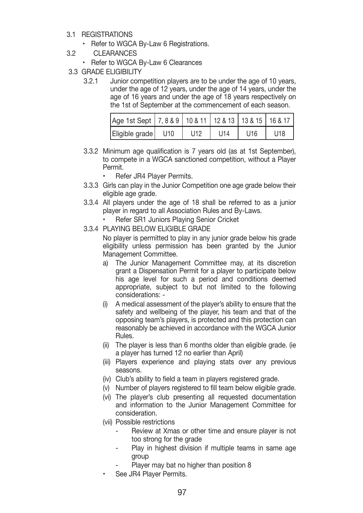- 3.1 REGISTRATIONS
	- Refer to WGCA By-Law 6 Registrations.
- 3.2 CLEARANCES
	- Refer to WGCA By-Law 6 Clearances
- 3.3 GRADE ELIGIBILITY
	- 3.2.1 Junior competition players are to be under the age of 10 years, under the age of 12 years, under the age of 14 years, under the age of 16 years and under the age of 18 years respectively on the 1st of September at the commencement of each season.

| Age 1st Sept   7, 8 & 9   10 & 11   12 & 13   13 & 15   16 & 17 |     |     |                 |                 |
|-----------------------------------------------------------------|-----|-----|-----------------|-----------------|
| Eligible grade   U10                                            | U12 | U14 | U <sub>16</sub> | U <sub>18</sub> |

- 3.3.2 Minimum age qualification is 7 years old (as at 1st September), to compete in a WGCA sanctioned competition, without a Player Permit.
	- Refer JR4 Player Permits.
- 3.3.3 Girls can play in the Junior Competition one age grade below their eligible age grade.
- 3.3.4 All players under the age of 18 shall be referred to as a junior player in regard to all Association Rules and By-Laws.
	- Refer SR1 Juniors Plaving Senior Cricket
- 3.3.4 PLAYING BELOW ELIGIBLE GRADE

 No player is permitted to play in any junior grade below his grade eligibility unless permission has been granted by the Junior Management Committee.

- a) The Junior Management Committee may, at its discretion grant a Dispensation Permit for a player to participate below his age level for such a period and conditions deemed appropriate, subject to but not limited to the following considerations: -
- (i) A medical assessment of the player's ability to ensure that the safety and wellbeing of the player, his team and that of the opposing team's players, is protected and this protection can reasonably be achieved in accordance with the WGCA Junior Rules.
- (ii) The player is less than 6 months older than eligible grade. (ie a player has turned 12 no earlier than April)
- (iii) Players experience and playing stats over any previous seasons.
- (iv) Club's ability to field a team in players registered grade.
- (v) Number of players registered to fill team below eligible grade.
- (vi) The player's club presenting all requested documentation and information to the Junior Management Committee for consideration.
- (vii) Possible restrictions
	- Review at Xmas or other time and ensure player is not too strong for the grade
	- Play in highest division if multiple teams in same age group
	- Player may bat no higher than position 8
- See JR4 Player Permits.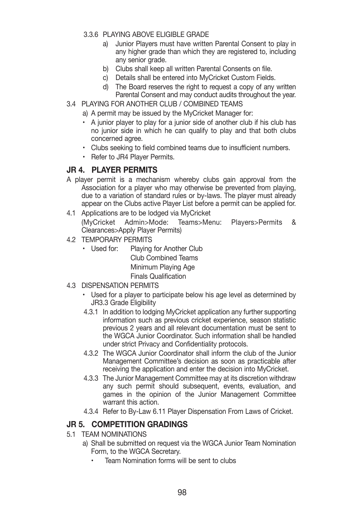- 3.3.6 PLAYING ABOVE ELIGIBLE GRADE
	- a) Junior Players must have written Parental Consent to play in any higher grade than which they are registered to, including any senior grade.
	- b) Clubs shall keep all written Parental Consents on file.
	- c) Details shall be entered into MyCricket Custom Fields.
	- d) The Board reserves the right to request a copy of any written Parental Consent and may conduct audits throughout the year.
- 3.4 PLAYING FOR ANOTHER CLUB / COMBINED TEAMS
	- a) A permit may be issued by the MyCricket Manager for:
	- A junior player to play for a junior side of another club if his club has no junior side in which he can qualify to play and that both clubs concerned agree.
	- Clubs seeking to field combined teams due to insufficient numbers.
	- Refer to JR4 Player Permits.

#### **JR 4. PLAYER PERMITS**

- A player permit is a mechanism whereby clubs gain approval from the Association for a player who may otherwise be prevented from playing, due to a variation of standard rules or by-laws. The player must already appear on the Clubs active Player List before a permit can be applied for.
- 4.1 Applications are to be lodged via MyCricket (MyCricket Admin>Mode: Teams>Menu: Players>Permits & Clearances>Apply Player Permits)
- 4.2 TEMPORARY PERMITS
	- Used for: Playing for Another Club Club Combined Teams Minimum Playing Age Finals Qualification
- 4.3 DISPENSATION PERMITS
	- Used for a player to participate below his age level as determined by JR3.3 Grade Eligibility
	- 4.3.1 In addition to lodging MyCricket application any further supporting information such as previous cricket experience, season statistic previous 2 years and all relevant documentation must be sent to the WGCA Junior Coordinator. Such information shall be handled under strict Privacy and Confidentiality protocols.
	- 4.3.2 The WGCA Junior Coordinator shall inform the club of the Junior Management Committee's decision as soon as practicable after receiving the application and enter the decision into MyCricket.
	- 4.3.3 The Junior Management Committee may at its discretion withdraw any such permit should subsequent, events, evaluation, and games in the opinion of the Junior Management Committee warrant this action.
	- 4.3.4 Refer to By-Law 6.11 Player Dispensation From Laws of Cricket.

## **JR 5. COMPETITION GRADINGS**

- 5.1 TEAM NOMINATIONS
	- a) Shall be submitted on request via the WGCA Junior Team Nomination Form, to the WGCA Secretary.
		- Team Nomination forms will be sent to clubs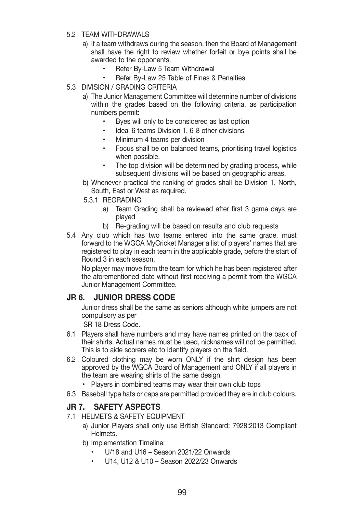#### 5.2 TEAM WITHDRAWALS

- a) If a team withdraws during the season, then the Board of Management shall have the right to review whether forfeit or bye points shall be awarded to the opponents.
	- Refer By-Law 5 Team Withdrawal
	- Refer By-Law 25 Table of Fines & Penalties
- 5.3 DIVISION / GRADING CRITERIA
	- a) The Junior Management Committee will determine number of divisions within the grades based on the following criteria, as participation numbers permit:
		- Byes will only to be considered as last option
		- Ideal 6 teams Division 1, 6-8 other divisions
		- Minimum 4 teams per division
		- Focus shall be on balanced teams, prioritising travel logistics when possible.
		- The top division will be determined by grading process, while subsequent divisions will be based on geographic areas.
	- b) Whenever practical the ranking of grades shall be Division 1, North, South, East or West as required.
	- 5.3.1 REGRADING
		- a) Team Grading shall be reviewed after first 3 game days are played
		- b) Re-grading will be based on results and club requests
- 5.4 Any club which has two teams entered into the same grade, must forward to the WGCA MyCricket Manager a list of players' names that are registered to play in each team in the applicable grade, before the start of Round 3 in each season.

 No player may move from the team for which he has been registered after the aforementioned date without first receiving a permit from the WGCA Junior Management Committee.

#### **JR 6. JUNIOR DRESS CODE**

 Junior dress shall be the same as seniors although white jumpers are not compulsory as per

SR 18 Dress Code.

- 6.1 Players shall have numbers and may have names printed on the back of their shirts. Actual names must be used, nicknames will not be permitted. This is to aide scorers etc to identify players on the field.
- 6.2 Coloured clothing may be worn ONLY if the shirt design has been approved by the WGCA Board of Management and ONLY if all players in the team are wearing shirts of the same design.
	- Plavers in combined teams may wear their own club tops
- 6.3 Baseball type hats or caps are permitted provided they are in club colours.

## **JR 7. SAFETY ASPECTS**

- 7.1 HELMETS & SAFETY EQUIPMENT
	- a) Junior Players shall only use British Standard: 7928:2013 Compliant Helmets.
	- b) Implementation Timeline:
		- $U/18$  and  $U16$  Season 2021/22 Onwards
		- U14, U12 & U10 Season 2022/23 Onwards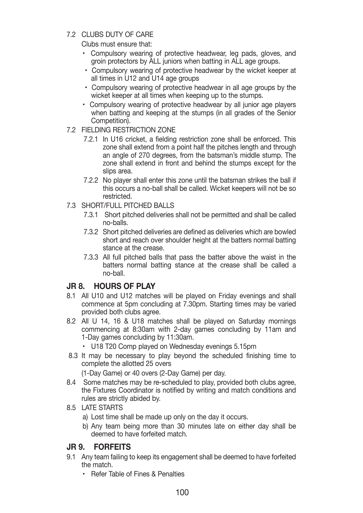7.2 CLUBS DUTY OF CARE

Clubs must ensure that:

- Compulsory wearing of protective headwear, leg pads, gloves, and groin protectors by ALL juniors when batting in ALL age groups.
- Compulsory wearing of protective headwear by the wicket keeper at all times in U12 and U14 age groups
- Compulsory wearing of protective headwear in all age groups by the wicket keeper at all times when keeping up to the stumps.
- Compulsory wearing of protective headwear by all junior age players when batting and keeping at the stumps (in all grades of the Senior Competition).
- 7.2 FIELDING RESTRICTION ZONE
	- 7.2.1 In U16 cricket, a fielding restriction zone shall be enforced. This zone shall extend from a point half the pitches length and through an angle of 270 degrees, from the batsman's middle stump. The zone shall extend in front and behind the stumps except for the slips area.
	- 7.2.2 No player shall enter this zone until the batsman strikes the ball if this occurs a no-ball shall be called. Wicket keepers will not be so restricted.
- 7.3 SHORT/FULL PITCHED BALLS
	- 7.3.1 Short pitched deliveries shall not be permitted and shall be called no-balls.
	- 7.3.2 Short pitched deliveries are defined as deliveries which are bowled short and reach over shoulder height at the batters normal batting stance at the crease.
	- 7.3.3 All full pitched balls that pass the batter above the waist in the batters normal batting stance at the crease shall be called a no-ball.

## **JR 8. HOURS OF PLAY**

- 8.1 All U10 and U12 matches will be played on Friday evenings and shall commence at 5pm concluding at 7.30pm. Starting times may be varied provided both clubs agree.
- 8.2 All U 14, 16 & U18 matches shall be played on Saturday mornings commencing at 8:30am with 2-day games concluding by 11am and 1-Day games concluding by 11:30am.
	- U18 T20 Comp played on Wednesday evenings 5.15pm
- 8.3 It may be necessary to play beyond the scheduled finishing time to complete the allotted 25 overs

(1-Day Game) or 40 overs (2-Day Game) per day.

- 8.4 Some matches may be re-scheduled to play, provided both clubs agree, the Fixtures Coordinator is notified by writing and match conditions and rules are strictly abided by.
- 8.5 LATE STARTS
	- a) Lost time shall be made up only on the day it occurs.
	- b) Any team being more than 30 minutes late on either day shall be deemed to have forfeited match.

## **JR 9. FORFEITS**

- 9.1 Any team failing to keep its engagement shall be deemed to have forfeited the match.
	- Refer Table of Fines & Penalties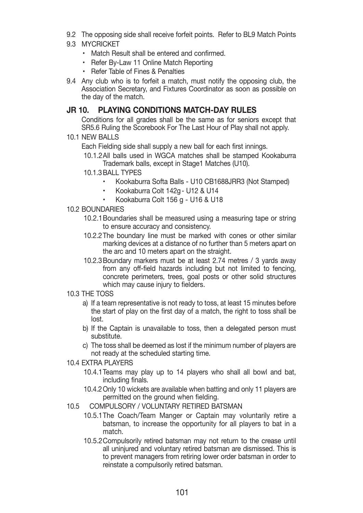- 9.2 The opposing side shall receive forfeit points. Refer to BL9 Match Points
- 9.3 MYCRICKET
	- $\cdot$  Match Result shall be entered and confirmed.
	- Refer By-Law 11 Online Match Reporting
	- Refer Table of Fines & Penalties
- 9.4 Any club who is to forfeit a match, must notify the opposing club, the Association Secretary, and Fixtures Coordinator as soon as possible on the day of the match.

## **JR 10. PLAYING CONDITIONS MATCH-DAY RULES**

 Conditions for all grades shall be the same as for seniors except that SR5.6 Ruling the Scorebook For The Last Hour of Play shall not apply.

10.1 NEW BALLS

Each Fielding side shall supply a new ball for each first innings.

- 10.1.2 All balls used in WGCA matches shall be stamped Kookaburra Trademark balls, except in Stage1 Matches (U10).
- 10.1.3 BALL TYPES
	- Kookaburra Softa Balls U10 CB1688JRR3 (Not Stamped)
	- Kookaburra Colt 142q U12 & U14
	- Kookaburra Colt 156 g U16 & U18
- 10.2 BOUNDARIES
	- 10.2.1 Boundaries shall be measured using a measuring tape or string to ensure accuracy and consistency.
	- 10.2.2 The boundary line must be marked with cones or other similar marking devices at a distance of no further than 5 meters apart on the arc and 10 meters apart on the straight.
	- 10.2.3 Boundary markers must be at least 2.74 metres / 3 yards away from any off-field hazards including but not limited to fencing, concrete perimeters, trees, goal posts or other solid structures which may cause injury to fielders.
- 10.3 THE TOSS
	- a) If a team representative is not ready to toss, at least 15 minutes before the start of play on the first day of a match, the right to toss shall be lost.
	- b) If the Captain is unavailable to toss, then a delegated person must substitute.
	- c) The toss shall be deemed as lost if the minimum number of players are not ready at the scheduled starting time.
- 10.4 EXTRA PLAYERS
	- 10.4.1 Teams may play up to 14 players who shall all bowl and bat, including finals.
	- 10.4.2 Only 10 wickets are available when batting and only 11 players are permitted on the ground when fielding.
- 10.5 COMPULSORY / VOLUNTARY RETIRED BATSMAN
	- 10.5.1 The Coach/Team Manger or Captain may voluntarily retire a batsman, to increase the opportunity for all players to bat in a match.
	- 10.5.2 Compulsorily retired batsman may not return to the crease until all uninjured and voluntary retired batsman are dismissed. This is to prevent managers from retiring lower order batsman in order to reinstate a compulsorily retired batsman.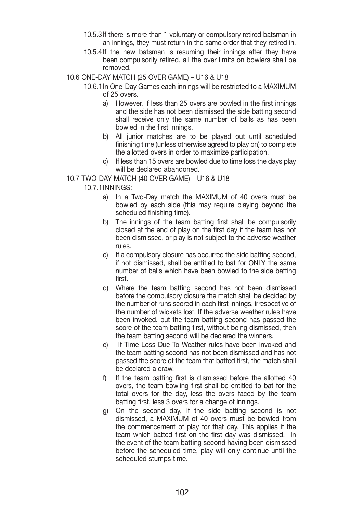- 10.5.3 If there is more than 1 voluntary or compulsory retired batsman in an innings, they must return in the same order that they retired in.
- 10.5.4 If the new batsman is resuming their innings after they have been compulsorily retired, all the over limits on bowlers shall be removed.

#### 10.6 ONE-DAY MATCH (25 OVER GAME) – U16 & U18

- 10.6.1 In One-Day Games each innings will be restricted to a MAXIMUM of 25 overs.
	- a) However, if less than 25 overs are bowled in the first innings and the side has not been dismissed the side batting second shall receive only the same number of balls as has been bowled in the first innings.
	- b) All junior matches are to be played out until scheduled finishing time (unless otherwise agreed to play on) to complete the allotted overs in order to maximize participation.
	- c) If less than 15 overs are bowled due to time loss the days play will be declared abandoned.

#### 10.7 TWO-DAY MATCH (40 OVER GAME) – U16 & U18

10.7.1 INNINGS:

- a) In a Two-Day match the MAXIMUM of 40 overs must be bowled by each side (this may require playing beyond the scheduled finishing time).
- b) The innings of the team batting first shall be compulsorily closed at the end of play on the first day if the team has not been dismissed, or play is not subject to the adverse weather rules.
- c) If a compulsory closure has occurred the side batting second, if not dismissed, shall be entitled to bat for ONLY the same number of balls which have been bowled to the side batting first.
- d) Where the team batting second has not been dismissed before the compulsory closure the match shall be decided by the number of runs scored in each first innings, irrespective of the number of wickets lost. If the adverse weather rules have been invoked, but the team batting second has passed the score of the team batting first, without being dismissed, then the team batting second will be declared the winners.
- e) If Time Loss Due To Weather rules have been invoked and the team batting second has not been dismissed and has not passed the score of the team that batted first, the match shall be declared a draw.
- f) If the team batting first is dismissed before the allotted 40 overs, the team bowling first shall be entitled to bat for the total overs for the day, less the overs faced by the team batting first, less 3 overs for a change of innings.
- g) On the second day, if the side batting second is not dismissed, a MAXIMUM of 40 overs must be bowled from the commencement of play for that day. This applies if the team which batted first on the first day was dismissed. In the event of the team batting second having been dismissed before the scheduled time, play will only continue until the scheduled stumps time.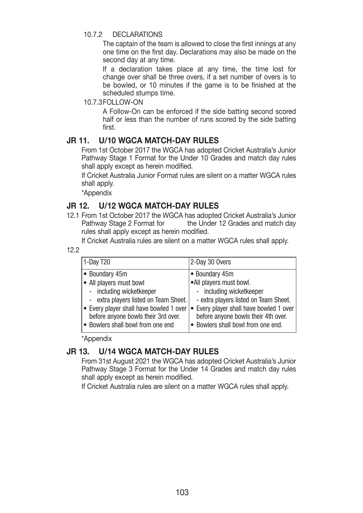#### 10.7.2 DECLARATIONS

 The captain of the team is allowed to close the first innings at any one time on the first day. Declarations may also be made on the second day at any time.

 If a declaration takes place at any time, the time lost for change over shall be three overs, if a set number of overs is to be bowled, or 10 minutes if the game is to be finished at the scheduled stumps time.

#### 10.7.3 FOLLOW-ON

 A Follow-On can be enforced if the side batting second scored half or less than the number of runs scored by the side batting first.

## **JR 11. U/10 WGCA MATCH-DAY RULES**

 From 1st October 2017 the WGCA has adopted Cricket Australia's Junior Pathway Stage 1 Format for the Under 10 Grades and match day rules shall apply except as herein modified.

 If Cricket Australia Junior Format rules are silent on a matter WGCA rules shall apply.

\*Appendix

## **JR 12. U/12 WGCA MATCH-DAY RULES**

12.1 From 1st October 2017 the WGCA has adopted Cricket Australia's Junior Pathway Stage 2 Format for the Under 12 Grades and match day rules shall apply except as herein modified.

If Cricket Australia rules are silent on a matter WGCA rules shall apply.

12.2

| 1-Day T20                                                                                                                                                                                                                                             | 2-Day 30 Overs                                                                                                                                                                                                                         |  |
|-------------------------------------------------------------------------------------------------------------------------------------------------------------------------------------------------------------------------------------------------------|----------------------------------------------------------------------------------------------------------------------------------------------------------------------------------------------------------------------------------------|--|
| ● Boundary 45m<br>$\bullet$ All players must bowl<br>- including wicketkeeper<br>- extra players listed on Team Sheet.<br>$\bullet$ Every player shall have bowled 1 over<br>before anyone bowls their 3rd over.<br>• Bowlers shall bowl from one end | • Boundary 45m<br>•All players must bowl.<br>- including wicketkeeper<br>- extra players listed on Team Sheet.<br>• Every player shall have bowled 1 over<br>before anyone bowls their 4th over.<br>• Bowlers shall bowl from one end. |  |
|                                                                                                                                                                                                                                                       |                                                                                                                                                                                                                                        |  |

\*Appendix

## **JR 13. U/14 WGCA MATCH-DAY RULES**

 From 31st August 2021 the WGCA has adopted Cricket Australia's Junior Pathway Stage 3 Format for the Under 14 Grades and match day rules shall apply except as herein modified.

If Cricket Australia rules are silent on a matter WGCA rules shall apply.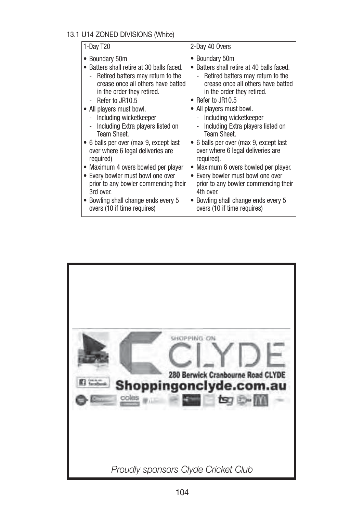## 13.1 U14 ZONED DIVISIONS (White)

| 1-Day T20                               | 2-Day 40 Overs                          |  |
|-----------------------------------------|-----------------------------------------|--|
| Boundary 50m                            | • Boundary 50m                          |  |
| Batters shall retire at 30 balls faced. | Batters shall retire at 40 balls faced. |  |
| Retired batters may return to the       | Retired batters may return to the       |  |
| crease once all others have batted      | crease once all others have batted      |  |
| in the order they retired.              | in the order they retired.              |  |
| - Refer to JR10.5                       | • Refer to JR10.5                       |  |
| • All players must bowl.                | • All players must bowl.                |  |
| Including wicketkeeper                  | Including wicketkeeper                  |  |
| Including Extra players listed on       | Including Extra players listed on       |  |
| Team Sheet.                             | <b>Team Sheet.</b>                      |  |
| 6 balls per over (max 9, except last    | 6 balls per over (max 9, except last    |  |
| over where 6 legal deliveries are       | over where 6 legal deliveries are       |  |
| required)                               | required).                              |  |
| Maximum 4 overs bowled per player       | • Maximum 6 overs bowled per player.    |  |
| Every bowler must bowl one over         | Every bowler must bowl one over         |  |
| prior to any bowler commencing their    | prior to any bowler commencing their    |  |
| 3rd over.                               | 4th over.                               |  |
| Bowling shall change ends every 5       | Bowling shall change ends every 5       |  |
| overs (10 if time requires)             | overs (10 if time requires)             |  |

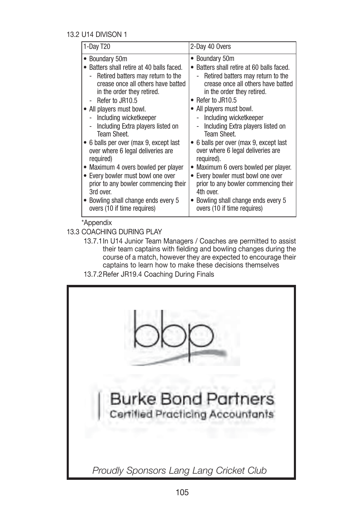#### 13.2 U14 DIVISON 1

| 1-Day T20                                                                                                                                                                                                                                                                                                                                                                                                                                                                                                                                                                                                                                                              | 2-Day 40 Overs                                                                                                                                                                                                                                                                                                                                                                                                                                                                                                                                                                                                                 |
|------------------------------------------------------------------------------------------------------------------------------------------------------------------------------------------------------------------------------------------------------------------------------------------------------------------------------------------------------------------------------------------------------------------------------------------------------------------------------------------------------------------------------------------------------------------------------------------------------------------------------------------------------------------------|--------------------------------------------------------------------------------------------------------------------------------------------------------------------------------------------------------------------------------------------------------------------------------------------------------------------------------------------------------------------------------------------------------------------------------------------------------------------------------------------------------------------------------------------------------------------------------------------------------------------------------|
| • Boundary 50m<br>• Batters shall retire at 40 balls faced.<br>Retired batters may return to the<br>$\sim$<br>crease once all others have batted<br>in the order they retired.<br>Refer to JR10.5<br>• All players must bowl.<br>Including wicketkeeper<br>$\overline{\phantom{a}}$<br>Including Extra players listed on<br>$\overline{\phantom{0}}$<br>Team Sheet.<br>• 6 balls per over (max 9, except last<br>over where 6 legal deliveries are<br>required)<br>• Maximum 4 overs bowled per player<br>• Every bowler must bowl one over<br>prior to any bowler commencing their<br>3rd over.<br>• Bowling shall change ends every 5<br>overs (10 if time requires) | • Boundary 50m<br>• Batters shall retire at 60 balls faced.<br>Retired batters may return to the<br>$\overline{\phantom{0}}$<br>crease once all others have batted<br>in the order they retired.<br>• Refer to JR10.5<br>• All players must bowl.<br>Including wicketkeeper<br>Including Extra players listed on<br>Team Sheet.<br>6 balls per over (max 9, except last<br>over where 6 legal deliveries are<br>required).<br>Maximum 6 overs bowled per player.<br>• Every bowler must bowl one over<br>prior to any bowler commencing their<br>4th over.<br>Bowling shall change ends every 5<br>overs (10 if time requires) |

13.3 COACHING DURING PLAY

- 13.7.1 In U14 Junior Team Managers / Coaches are permitted to assist their team captains with fielding and bowling changes during the course of a match, however they are expected to encourage their captains to learn how to make these decisions themselves
- 13.7.2 Refer JR19.4 Coaching During Finals

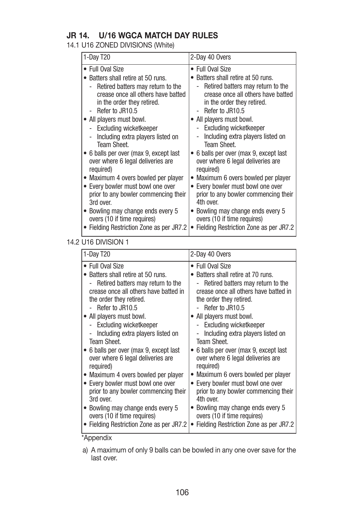## **JR 14. U/16 WGCA MATCH DAY RULES**

## 14.1 U16 ZONED DIVISIONS (White)

| • Full Oval Size                                                                                                                                                                                                                                                                                                                                                                                                                                                                                                                                                                                                                                                  | • Full Oval Size                                                                                                                                                                                                                                                                                                                                                                                                                                                                                                                                                                                                |
|-------------------------------------------------------------------------------------------------------------------------------------------------------------------------------------------------------------------------------------------------------------------------------------------------------------------------------------------------------------------------------------------------------------------------------------------------------------------------------------------------------------------------------------------------------------------------------------------------------------------------------------------------------------------|-----------------------------------------------------------------------------------------------------------------------------------------------------------------------------------------------------------------------------------------------------------------------------------------------------------------------------------------------------------------------------------------------------------------------------------------------------------------------------------------------------------------------------------------------------------------------------------------------------------------|
| Batters shall retire at 50 runs.<br>Retired batters may return to the<br>crease once all others have batted<br>in the order they retired.<br>- Refer to JR10.5<br>All players must bowl.<br>- Excluding wicketkeeper<br>Including extra players listed on<br>$\overline{\phantom{0}}$<br>Team Sheet.<br>6 balls per over (max 9, except last<br>over where 6 legal deliveries are<br>required)<br>Maximum 4 overs bowled per player<br>Every bowler must bowl one over<br>$\bullet$<br>prior to any bowler commencing their<br>3rd over.<br>Bowling may change ends every 5<br>overs (10 if time requires)<br>Fielding Restriction Zone as per JR7.2<br>$\bullet$ | Batters shall retire at 50 runs.<br>Retired batters may return to the<br>crease once all others have batted<br>in the order they retired.<br>Refer to JR10.5<br>All players must bowl.<br>Excluding wicketkeeper<br>Including extra players listed on<br><b>Team Sheet.</b><br>6 balls per over (max 9, except last)<br>over where 6 legal deliveries are<br>required)<br>Maximum 6 overs bowled per player<br>Every bowler must bowl one over<br>prior to any bowler commencing their<br>4th over.<br>Bowling may change ends every 5<br>overs (10 if time requires)<br>Fielding Restriction Zone as per JR7.2 |

## 14.2 U16 DIVISION 1

| 1-Day T20                                                                                                                                                                                                                                                                                                                                                                                                                                                                                                                                                                                                                                            | 2-Day 40 Overs                                                                                                                                                                                                                                                                                                                                                                                                                                                                                                                                                                                                                                                   |
|------------------------------------------------------------------------------------------------------------------------------------------------------------------------------------------------------------------------------------------------------------------------------------------------------------------------------------------------------------------------------------------------------------------------------------------------------------------------------------------------------------------------------------------------------------------------------------------------------------------------------------------------------|------------------------------------------------------------------------------------------------------------------------------------------------------------------------------------------------------------------------------------------------------------------------------------------------------------------------------------------------------------------------------------------------------------------------------------------------------------------------------------------------------------------------------------------------------------------------------------------------------------------------------------------------------------------|
| • Full Oval Size<br>• Batters shall retire at 50 runs.<br>Retired batters may return to the<br>crease once all others have batted in<br>the order they retired.<br>- Refer to JR10.5<br>• All players must bowl.<br>- Excluding wicketkeeper<br>Including extra players listed on<br><b>Team Sheet.</b><br>• 6 balls per over (max 9, except last<br>over where 6 legal deliveries are<br>required)<br>• Maximum 4 overs bowled per player<br>• Every bowler must bowl one over<br>prior to any bowler commencing their<br>3rd over.<br>• Bowling may change ends every 5<br>overs (10 if time requires)<br>• Fielding Restriction Zone as per JR7.2 | • Full Oval Size<br>Batters shall retire at 70 runs.<br>Retired batters may return to the<br>crease once all others have batted in<br>the order they retired.<br>Refer to JR10.5<br>All players must bowl.<br>Excluding wicketkeeper<br>$\sim$<br>Including extra players listed on<br>Team Sheet.<br>6 balls per over (max 9, except last)<br>over where 6 legal deliveries are<br>required)<br>Maximum 6 overs bowled per player<br>Every bowler must bowl one over<br>$\bullet$<br>prior to any bowler commencing their<br>4th over.<br>Bowling may change ends every 5<br>overs (10 if time requires)<br>Fielding Restriction Zone as per JR7.2<br>$\bullet$ |
| *Appendix                                                                                                                                                                                                                                                                                                                                                                                                                                                                                                                                                                                                                                            |                                                                                                                                                                                                                                                                                                                                                                                                                                                                                                                                                                                                                                                                  |

a) A maximum of only 9 balls can be bowled in any one over save for the last over.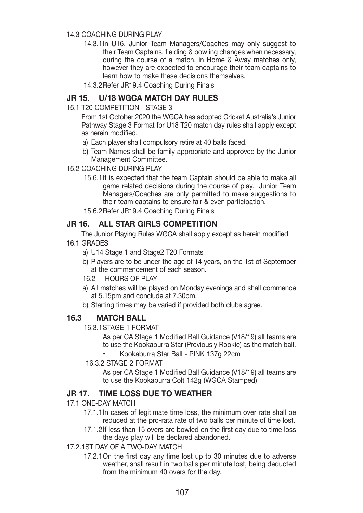#### 14.3 COACHING DURING PLAY

- 14.3.1 In U16, Junior Team Managers/Coaches may only suggest to their Team Captains, fielding & bowling changes when necessary, during the course of a match, in Home & Away matches only, however they are expected to encourage their team captains to learn how to make these decisions themselves.
- 14.3.2 Refer JR19.4 Coaching During Finals

## **JR 15. U/18 WGCA MATCH DAY RULES**

15.1 T20 COMPETITION - STAGE 3

 From 1st October 2020 the WGCA has adopted Cricket Australia's Junior Pathway Stage 3 Format for U18 T20 match day rules shall apply except as herein modified.

- a) Each player shall compulsory retire at 40 balls faced.
- b) Team Names shall be family appropriate and approved by the Junior Management Committee.

#### 15.2 COACHING DURING PLAY

- 15.6.1 It is expected that the team Captain should be able to make all game related decisions during the course of play. Junior Team Managers/Coaches are only permitted to make suggestions to their team captains to ensure fair & even participation.
- 15.6.2 Refer JR19.4 Coaching During Finals

## **JR 16. ALL STAR GIRLS COMPETITION**

 The Junior Playing Rules WGCA shall apply except as herein modified 16.1 GRADES

- a) U14 Stage 1 and Stage2 T20 Formats
- b) Players are to be under the age of 14 years, on the 1st of September at the commencement of each season.
- 16.2 HOURS OF PLAY
- a) All matches will be played on Monday evenings and shall commence at 5.15pm and conclude at 7.30pm.
- b) Starting times may be varied if provided both clubs agree.

## **16.3 MATCH BALL**

16.3.1 STAGE 1 FORMAT

 As per CA Stage 1 Modified Ball Guidance (V18/19) all teams are to use the Kookaburra Star (Previously Rookie) as the match ball.

- Kookaburra Star Ball PINK 137g 22cm
- 16.3.2 STAGE 2 FORMAT

 As per CA Stage 1 Modified Ball Guidance (V18/19) all teams are to use the Kookaburra Colt 142g (WGCA Stamped)

## **JR 17. TIME LOSS DUE TO WEATHER**

- 17.1 ONE-DAY MATCH
	- 17.1.1 In cases of legitimate time loss, the minimum over rate shall be reduced at the pro-rata rate of two balls per minute of time lost.
	- 17.1.2 If less than 15 overs are bowled on the first day due to time loss the days play will be declared abandoned.

#### 17.2. 1ST DAY OF A TWO-DAY MATCH

17.2.1 On the first day any time lost up to 30 minutes due to adverse weather, shall result in two balls per minute lost, being deducted from the minimum 40 overs for the day.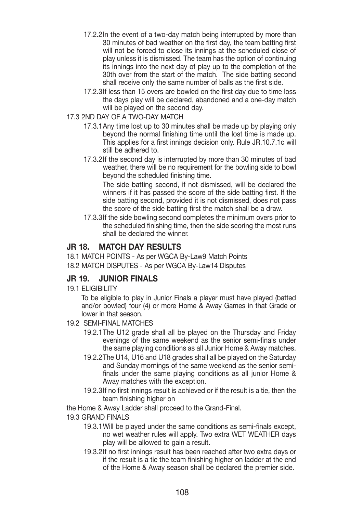- 17.2.2 In the event of a two-day match being interrupted by more than 30 minutes of bad weather on the first day, the team batting first will not be forced to close its innings at the scheduled close of play unless it is dismissed. The team has the option of continuing its innings into the next day of play up to the completion of the 30th over from the start of the match. The side batting second shall receive only the same number of balls as the first side.
- 17.2.3 If less than 15 overs are bowled on the first day due to time loss the days play will be declared, abandoned and a one-day match will be played on the second day.
- 17.3 2ND DAY OF A TWO-DAY MATCH
	- 17.3.1 Any time lost up to 30 minutes shall be made up by playing only beyond the normal finishing time until the lost time is made up. This applies for a first innings decision only. Rule JR.10.7.1c will still be adhered to.
	- 17.3.2 If the second day is interrupted by more than 30 minutes of bad weather, there will be no requirement for the bowling side to bowl beyond the scheduled finishing time.

 The side batting second, if not dismissed, will be declared the winners if it has passed the score of the side batting first. If the side batting second, provided it is not dismissed, does not pass the score of the side batting first the match shall be a draw.

17.3.3 If the side bowling second completes the minimum overs prior to the scheduled finishing time, then the side scoring the most runs shall be declared the winner.

## **JR 18. MATCH DAY RESULTS**

18.1 MATCH POINTS - As per WGCA By-Law9 Match Points 18.2 MATCH DISPUTES - As per WGCA By-Law14 Disputes

## **JR 19. JUNIOR FINALS**

19.1 ELIGIBILITY

 To be eligible to play in Junior Finals a player must have played (batted and/or bowled) four (4) or more Home & Away Games in that Grade or lower in that season.

- 19.2 SEMI-FINAL MATCHES
	- 19.2.1 The U12 grade shall all be played on the Thursday and Friday evenings of the same weekend as the senior semi-finals under the same playing conditions as all Junior Home & Away matches.
	- 19.2.2 The U14, U16 and U18 grades shall all be played on the Saturday and Sunday mornings of the same weekend as the senior semifinals under the same playing conditions as all junior Home & Away matches with the exception.
	- 19.2.3 If no first innings result is achieved or if the result is a tie, then the team finishing higher on

the Home & Away Ladder shall proceed to the Grand-Final.

#### 19.3 GRAND FINALS

- 19.3.1 Will be played under the same conditions as semi-finals except, no wet weather rules will apply. Two extra WET WEATHER days play will be allowed to gain a result.
- 19.3.2 If no first innings result has been reached after two extra days or if the result is a tie the team finishing higher on ladder at the end of the Home & Away season shall be declared the premier side.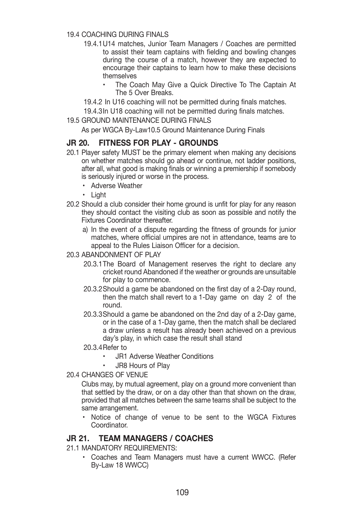#### 19.4 COACHING DURING FINALS

- 19.4.1 U14 matches, Junior Team Managers / Coaches are permitted to assist their team captains with fielding and bowling changes during the course of a match, however they are expected to encourage their captains to learn how to make these decisions themselves
	- The Coach May Give a Quick Directive To The Captain At The 5 Over Breaks.
- 19.4.2 In U16 coaching will not be permitted during finals matches.

19.4.3 In U18 coaching will not be permitted during finals matches.

19.5 GROUND MAINTENANCE DURING FINALS

As per WGCA By-Law10.5 Ground Maintenance During Finals

## **JR 20. FITNESS FOR PLAY - GROUNDS**

- 20.1 Player safety MUST be the primary element when making any decisions on whether matches should go ahead or continue, not ladder positions, after all, what good is making finals or winning a premiership if somebody is seriously injured or worse in the process.
	- Adverse Weather
	- Liaht
- 20.2 Should a club consider their home ground is unfit for play for any reason they should contact the visiting club as soon as possible and notify the Fixtures Coordinator thereafter.
	- a) In the event of a dispute regarding the fitness of grounds for junior matches, where official umpires are not in attendance, teams are to appeal to the Rules Liaison Officer for a decision.

#### 20.3 ABANDONMENT OF PLAY

- 20.3.1 The Board of Management reserves the right to declare any cricket round Abandoned if the weather or grounds are unsuitable for play to commence.
- 20.3.2 Should a game be abandoned on the first day of a 2-Day round, then the match shall revert to a 1-Day game on day 2 of the round.
- 20.3.3 Should a game be abandoned on the 2nd day of a 2-Day game, or in the case of a 1-Day game, then the match shall be declared a draw unless a result has already been achieved on a previous day's play, in which case the result shall stand
- 20.3.4 Refer to
	- JR1 Adverse Weather Conditions
	- JR8 Hours of Play

#### 20.4 CHANGES OF VENUE

 Clubs may, by mutual agreement, play on a ground more convenient than that settled by the draw, or on a day other than that shown on the draw, provided that all matches between the same teams shall be subject to the same arrangement.

• Notice of change of venue to be sent to the WGCA Fixtures Coordinator.

## **JR 21. TEAM MANAGERS / COACHES**

21.1 MANDATORY REQUIREMENTS:

Coaches and Team Managers must have a current WWCC. (Refer By-Law 18 WWCC)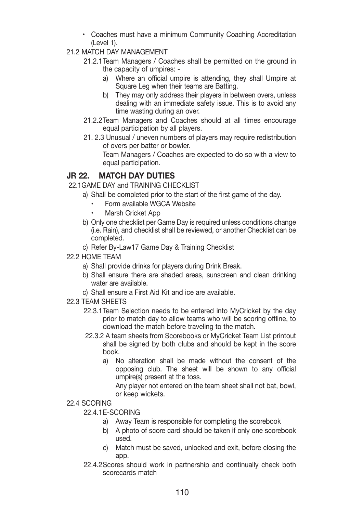- \* Coaches must have a minimum Community Coaching Accreditation (Level 1).
- 21.2 MATCH DAY MANAGEMENT
	- 21.2.1 Team Managers / Coaches shall be permitted on the ground in the capacity of umpires:
		- a) Where an official umpire is attending, they shall Umpire at Square Leg when their teams are Batting.
		- b) They may only address their players in between overs, unless dealing with an immediate safety issue. This is to avoid any time wasting during an over.
	- 21.2.2 Team Managers and Coaches should at all times encourage equal participation by all players.
	- 21. 2.3 Unusual / uneven numbers of players may require redistribution of overs per batter or bowler.

 Team Managers / Coaches are expected to do so with a view to equal participation.

## **JR 22. MATCH DAY DUTIES**

22.1 GAME DAY and TRAINING CHECKLIST

- a) Shall be completed prior to the start of the first game of the day.
	- Form available WGCA Website
	- Marsh Cricket App
- b) Only one checklist per Game Day is required unless conditions change (i.e. Rain), and checklist shall be reviewed, or another Checklist can be completed.
- c) Refer By-Law17 Game Day & Training Checklist
- 22.2 HOME TEAM
	- a) Shall provide drinks for players during Drink Break.
	- b) Shall ensure there are shaded areas, sunscreen and clean drinking water are available.
	- c) Shall ensure a First Aid Kit and ice are available.
- 22.3 TEAM SHEETS
	- 22.3.1 Team Selection needs to be entered into MyCricket by the day prior to match day to allow teams who will be scoring offline, to download the match before traveling to the match.
	- 22.3.2 A team sheets from Scorebooks or MyCricket Team List printout shall be signed by both clubs and should be kept in the score book.
		- a) No alteration shall be made without the consent of the opposing club. The sheet will be shown to any official umpire(s) present at the toss.

 Any player not entered on the team sheet shall not bat, bowl, or keep wickets.

#### 22.4 SCORING

22.4.1 E-SCORING

- a) Away Team is responsible for completing the scorebook
- b) A photo of score card should be taken if only one scorebook used.
- c) Match must be saved, unlocked and exit, before closing the app.
- 22.4.2 Scores should work in partnership and continually check both scorecards match